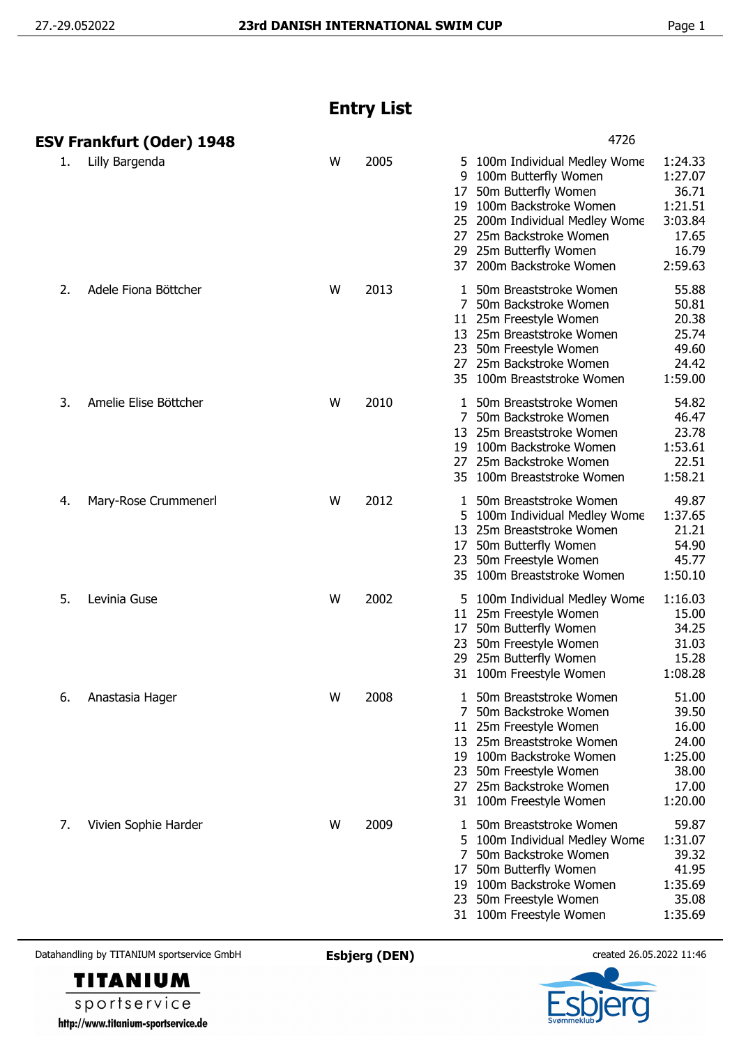## **Entry List**

|    | ESV Frankfurt (Oder) 1948 |   |      | 4726                                                                                                                                                                                                                                                                                                                     |
|----|---------------------------|---|------|--------------------------------------------------------------------------------------------------------------------------------------------------------------------------------------------------------------------------------------------------------------------------------------------------------------------------|
| 1. | Lilly Bargenda            | W | 2005 | 5 100m Individual Medley Wome<br>1:24.33<br>1:27.07<br>9<br>100m Butterfly Women<br>50m Butterfly Women<br>36.71<br>17<br>19 100m Backstroke Women<br>1:21.51<br>3:03.84<br>25 200m Individual Medley Wome<br>27 25m Backstroke Women<br>17.65<br>29 25m Butterfly Women<br>16.79<br>37 200m Backstroke Women<br>2:59.63 |
| 2. | Adele Fiona Böttcher      | W | 2013 | 55.88<br>1 50m Breaststroke Women<br>7 50m Backstroke Women<br>50.81<br>11 25m Freestyle Women<br>20.38<br>25.74<br>13 25m Breaststroke Women<br>23 50m Freestyle Women<br>49.60<br>27 25m Backstroke Women<br>24.42<br>35 100m Breaststroke Women<br>1:59.00                                                            |
| 3. | Amelie Elise Böttcher     | W | 2010 | 54.82<br>1 50m Breaststroke Women<br>50m Backstroke Women<br>46.47<br>7<br>23.78<br>13<br>25m Breaststroke Women<br>1:53.61<br>19 100m Backstroke Women<br>25m Backstroke Women<br>22.51<br>27<br>35 100m Breaststroke Women<br>1:58.21                                                                                  |
| 4. | Mary-Rose Crummenerl      | W | 2012 | 49.87<br>1 50m Breaststroke Women<br>1:37.65<br>100m Individual Medley Wome<br>5.<br>21.21<br>13 25m Breaststroke Women<br>50m Butterfly Women<br>54.90<br>17<br>23 50m Freestyle Women<br>45.77<br>35 100m Breaststroke Women<br>1:50.10                                                                                |
| 5. | Levinia Guse              | W | 2002 | 1:16.03<br>5 100m Individual Medley Wome<br>11 25m Freestyle Women<br>15.00<br>50m Butterfly Women<br>34.25<br>17<br>31.03<br>23<br>50m Freestyle Women<br>29 25m Butterfly Women<br>15.28<br>1:08.28<br>31 100m Freestyle Women                                                                                         |
| 6. | Anastasia Hager           | W | 2008 | 50m Breaststroke Women<br>51.00<br>1<br>50m Backstroke Women<br>39.50<br>16.00<br>11 25m Freestyle Women<br>13 25m Breaststroke Women<br>24.00<br>1:25.00<br>19 100m Backstroke Women<br>23 50m Freestyle Women<br>38.00<br>17.00<br>27 25m Backstroke Women<br>31 100m Freestyle Women<br>1:20.00                       |
| 7. | Vivien Sophie Harder      | W | 2009 | 50m Breaststroke Women<br>59.87<br>1<br>5 100m Individual Medley Wome<br>1:31.07<br>50m Backstroke Women<br>39.32<br>7<br>50m Butterfly Women<br>41.95<br>17<br>19 100m Backstroke Women<br>1:35.69<br>23 50m Freestyle Women<br>35.08<br>1:35.69<br>31 100m Freestyle Women                                             |

Datahandling by TITANIUM sportservice GmbH **Esbjerg (DEN)** created 26.05.2022 11:46



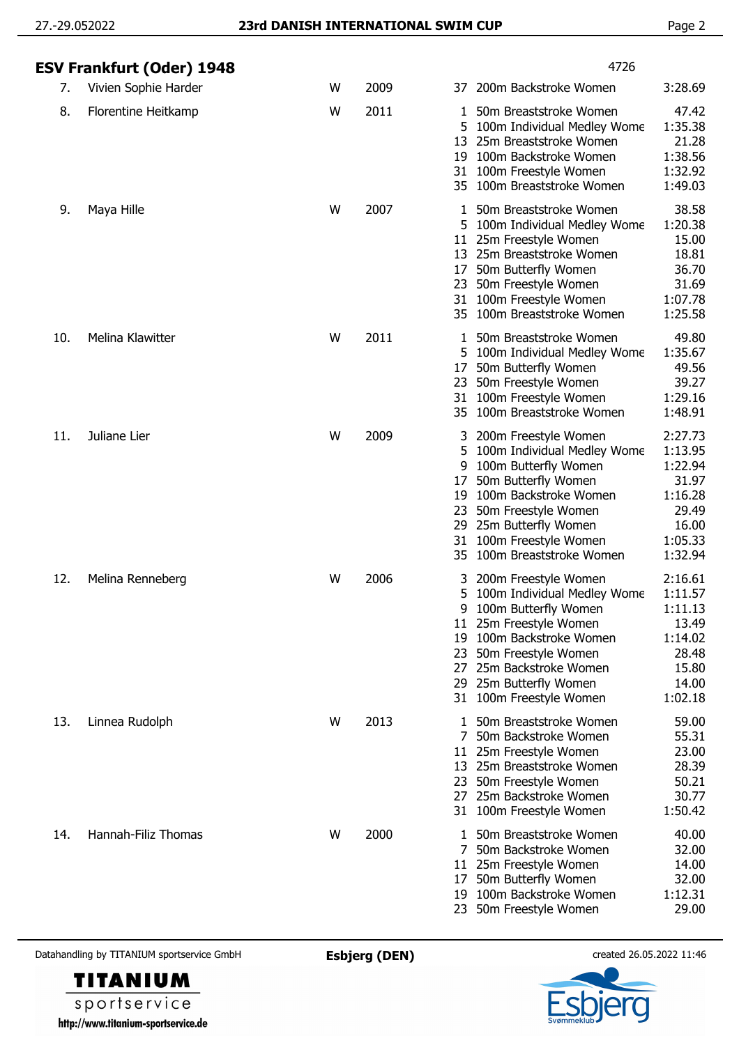|     | ESV Frankfurt (Oder) 1948 |   |      | 4726                                                                                                                                                                                                                                                                                                                                                                     |
|-----|---------------------------|---|------|--------------------------------------------------------------------------------------------------------------------------------------------------------------------------------------------------------------------------------------------------------------------------------------------------------------------------------------------------------------------------|
| 7.  | Vivien Sophie Harder      | W | 2009 | 200m Backstroke Women<br>3:28.69<br>37                                                                                                                                                                                                                                                                                                                                   |
| 8.  | Florentine Heitkamp       | W | 2011 | 50m Breaststroke Women<br>47.42<br>1<br>1:35.38<br>100m Individual Medley Wome<br>5.<br>21.28<br>13 25m Breaststroke Women<br>1:38.56<br>100m Backstroke Women<br>19<br>1:32.92<br>31 100m Freestyle Women<br>35 100m Breaststroke Women<br>1:49.03                                                                                                                      |
| 9.  | Maya Hille                | W | 2007 | 38.58<br>50m Breaststroke Women<br>1<br>1:20.38<br>100m Individual Medley Wome<br>5.<br>15.00<br>25m Freestyle Women<br>11<br>25m Breaststroke Women<br>18.81<br>13<br>36.70<br>17<br>50m Butterfly Women<br>31.69<br>50m Freestyle Women<br>23<br>1:07.78<br>31 100m Freestyle Women<br>35 100m Breaststroke Women<br>1:25.58                                           |
| 10. | Melina Klawitter          | W | 2011 | 49.80<br>50m Breaststroke Women<br>1<br>1:35.67<br>5 100m Individual Medley Wome<br>49.56<br>50m Butterfly Women<br>17<br>39.27<br>50m Freestyle Women<br>23<br>31 100m Freestyle Women<br>1:29.16<br>1:48.91<br>100m Breaststroke Women<br>35                                                                                                                           |
| 11. | Juliane Lier              | W | 2009 | 200m Freestyle Women<br>2:27.73<br>1:13.95<br>100m Individual Medley Wome<br>5.<br>1:22.94<br>100m Butterfly Women<br>9<br>31.97<br>50m Butterfly Women<br>17<br>1:16.28<br>100m Backstroke Women<br>19<br>50m Freestyle Women<br>29.49<br>23<br>25m Butterfly Women<br>16.00<br>29<br>1:05.33<br>100m Freestyle Women<br>31<br>1:32.94<br>100m Breaststroke Women<br>35 |
| 12. | Melina Renneberg          | W | 2006 | 2:16.61<br>200m Freestyle Women<br>3<br>1:11.57<br>100m Individual Medley Wome<br>5<br>100m Butterfly Women<br>1:11.13<br>q<br>11 25m Freestyle Women<br>13.49<br>1:14.02<br>100m Backstroke Women<br>19<br>28.48<br>50m Freestyle Women<br>23<br>15.80<br>25m Backstroke Women<br>27<br>29 25m Butterfly Women<br>14.00<br>1:02.18<br>100m Freestyle Women<br>31        |
| 13. | Linnea Rudolph            | W | 2013 | 50m Breaststroke Women<br>59.00<br>1.<br>55.31<br>50m Backstroke Women<br>7<br>23.00<br>25m Freestyle Women<br>11<br>28.39<br>13 25m Breaststroke Women<br>50.21<br>50m Freestyle Women<br>23<br>30.77<br>25m Backstroke Women<br>27<br>1:50.42<br>100m Freestyle Women<br>31                                                                                            |
| 14. | Hannah-Filiz Thomas       | W | 2000 | 40.00<br>50m Breaststroke Women<br>L<br>32.00<br>50m Backstroke Women<br>7<br>14.00<br>25m Freestyle Women<br>11<br>32.00<br>50m Butterfly Women<br>17<br>1:12.31<br>100m Backstroke Women<br>19<br>29.00<br>50m Freestyle Women<br>23                                                                                                                                   |

Datahandling by TITANIUM sportservice GmbH **Esbjerg (DEN)** created 26.05.2022 11:46





sportservice http://www.titanium-sportservice.de

**TITANIUM**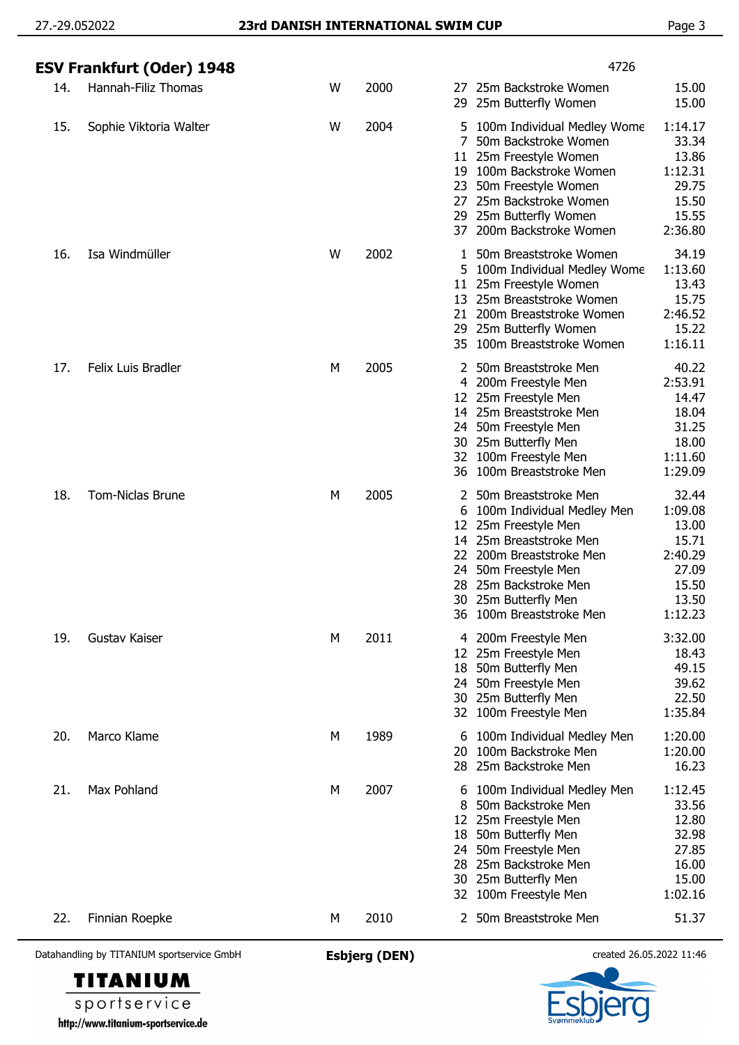|     | ESV Frankfurt (Oder) 1948 |   |      | 4726                                                                                                                                                                                                                                                                                                                                            |
|-----|---------------------------|---|------|-------------------------------------------------------------------------------------------------------------------------------------------------------------------------------------------------------------------------------------------------------------------------------------------------------------------------------------------------|
| 14. | Hannah-Filiz Thomas       | W | 2000 | 15.00<br>25m Backstroke Women<br>27.<br>15.00<br>29 25m Butterfly Women                                                                                                                                                                                                                                                                         |
| 15. | Sophie Viktoria Walter    | W | 2004 | 100m Individual Medley Wome<br>1:14.17<br>5.<br>33.34<br>7<br>50m Backstroke Women<br>13.86<br>25m Freestyle Women<br>11.<br>1:12.31<br>100m Backstroke Women<br>19.<br>29.75<br>50m Freestyle Women<br>23<br>15.50<br>25m Backstroke Women<br>27<br>15.55<br>29 25m Butterfly Women<br>2:36.80<br>200m Backstroke Women<br>37                  |
| 16. | Isa Windmüller            | W | 2002 | 34.19<br>50m Breaststroke Women<br>1<br>1:13.60<br>100m Individual Medley Wome<br>5.<br>13.43<br>11 25m Freestyle Women<br>13 25m Breaststroke Women<br>15.75<br>2:46.52<br>21 200m Breaststroke Women<br>15.22<br>29 25m Butterfly Women<br>1:16.11<br>35 100m Breaststroke Women                                                              |
| 17. | <b>Felix Luis Bradler</b> | М | 2005 | 40.22<br>2 50m Breaststroke Men<br>2:53.91<br>4 200m Freestyle Men<br>14.47<br>12 25m Freestyle Men<br>14 25m Breaststroke Men<br>18.04<br>31.25<br>24 50m Freestyle Men<br>18.00<br>30 25m Butterfly Men<br>32 100m Freestyle Men<br>1:11.60<br>1:29.09<br>36 100m Breaststroke Men                                                            |
| 18. | <b>Tom-Niclas Brune</b>   | М | 2005 | 32.44<br>50m Breaststroke Men<br>1:09.08<br>100m Individual Medley Men<br>6<br>13.00<br>25m Freestyle Men<br>12<br>25m Breaststroke Men<br>15.71<br>14<br>2:40.29<br>22<br>200m Breaststroke Men<br>27.09<br>50m Freestyle Men<br>24<br>15.50<br>25m Backstroke Men<br>28.<br>13.50<br>30 25m Butterfly Men<br>1:12.23<br>100m Breaststroke Men |
| 19. | Gustav Kaiser             | М | 2011 | 3:32.00<br>200m Freestyle Men<br>4<br>18.43<br>25m Freestyle Men<br>12.<br>49.15<br>50m Butterfly Men<br>18<br>39.62<br>50m Freestyle Men<br>24<br>22.50<br>25m Butterfly Men<br>30<br>1:35.84<br>32 100m Freestyle Men                                                                                                                         |
| 20. | Marco Klame               | М | 1989 | 1:20.00<br>100m Individual Medley Men<br>6<br>100m Backstroke Men<br>1:20.00<br>20<br>28 25m Backstroke Men<br>16.23                                                                                                                                                                                                                            |
| 21. | Max Pohland               | М | 2007 | 1:12.45<br>100m Individual Medley Men<br>6<br>33.56<br>50m Backstroke Men<br>8<br>25m Freestyle Men<br>12.80<br>12<br>32.98<br>50m Butterfly Men<br>18<br>50m Freestyle Men<br>27.85<br>24<br>25m Backstroke Men<br>16.00<br>28<br>15.00<br>25m Butterfly Men<br>30<br>1:02.16<br>100m Freestyle Men<br>32                                      |
| 22. | Finnian Roepke            | М | 2010 | 2 50m Breaststroke Men<br>51.37                                                                                                                                                                                                                                                                                                                 |

Datahandling by TITANIUM sportservice GmbH **Esbjerg (DEN)** created 26.05.2022 11:46

**TITANIUM** sportservice http://www.titanium-sportservice.de